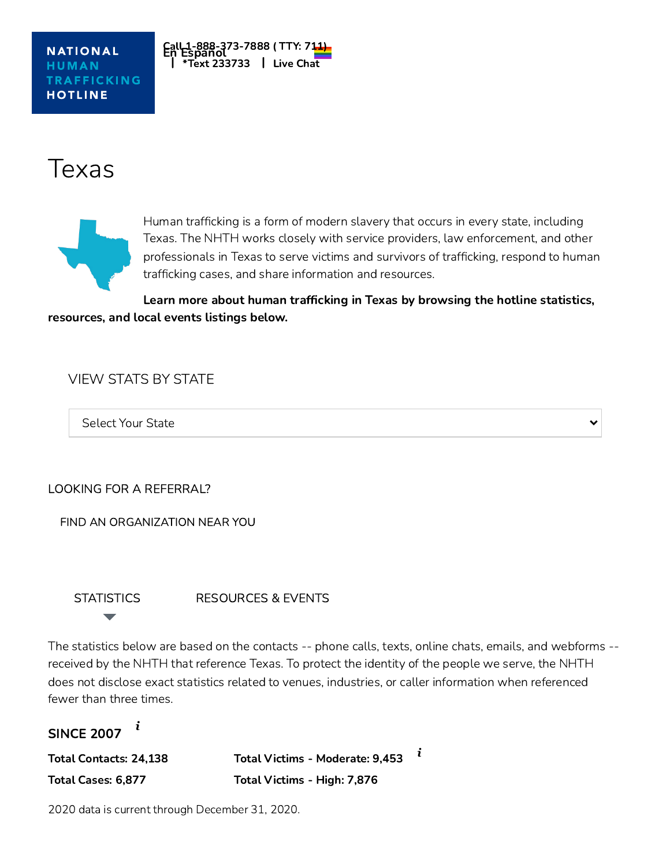

# Texas



Human trafficking is a form of modern slavery that occurs in every state, including Texas. The NHTH works closely with service providers, law enforcement, and other professionals in Texas to serve victims and survivors of trafficking, respond to human trafficking cases, and share information and resources.

Learn more about human trafficking in Texas by browsing the hotline statistics, resources, and local events listings below.

## VIEW STATS BY STATE

Select Your State

LOOKING FOR A REFERRAL?

FIND AN [ORGANIZATION](https://humantraffickinghotline.org/training-resources/referral-directory?loc=texas) NEAR YOU

**[STATISTICS](https://humantraffickinghotline.org/state/texas?qt-state_tabs=0#qt-state_tabs)** 

[RESOURCES](https://humantraffickinghotline.org/state/texas?qt-state_tabs=1#qt-state_tabs) & EVENTS

The statistics below are based on the contacts -- phone calls, texts, online chats, emails, and webforms - received by the NHTH that reference Texas. To protect the identity of the people we serve, the NHTH does not disclose exact statistics related to venues, industries, or caller information when referenced fewer than three times.

```
SINCE 2007
 i
```
Total Contacts: 24,138 Total Cases: 6,877

Total Victims - Moderate: 9,453 Total Victims - High: 7,876 *i*

2020 data is current through December 31, 2020.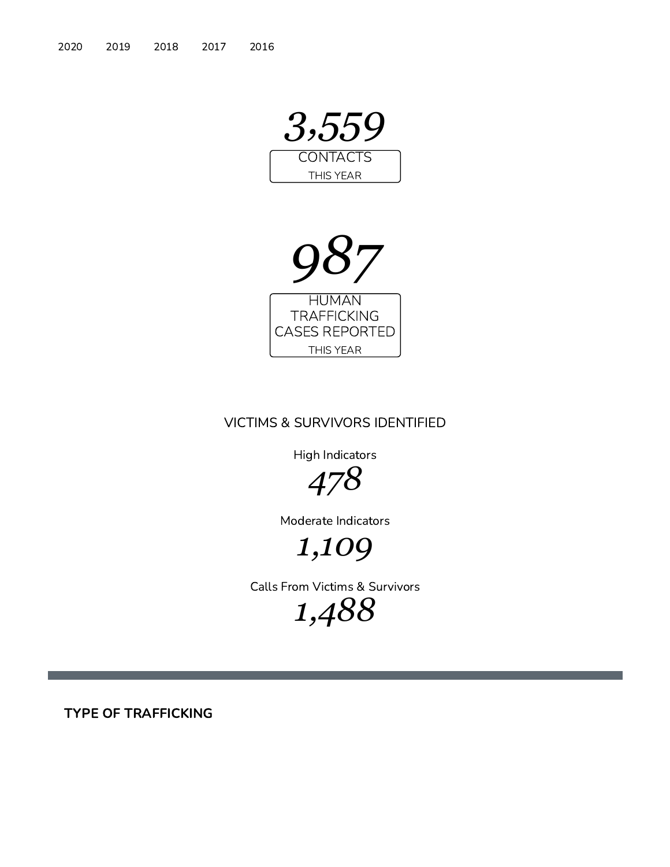



### VICTIMS & SURVIVORS IDENTIFIED

High Indicators



Moderate Indicators

*1,109*

Calls From Victims & Survivors

*1,488*

TYPE OF TRAFFICKING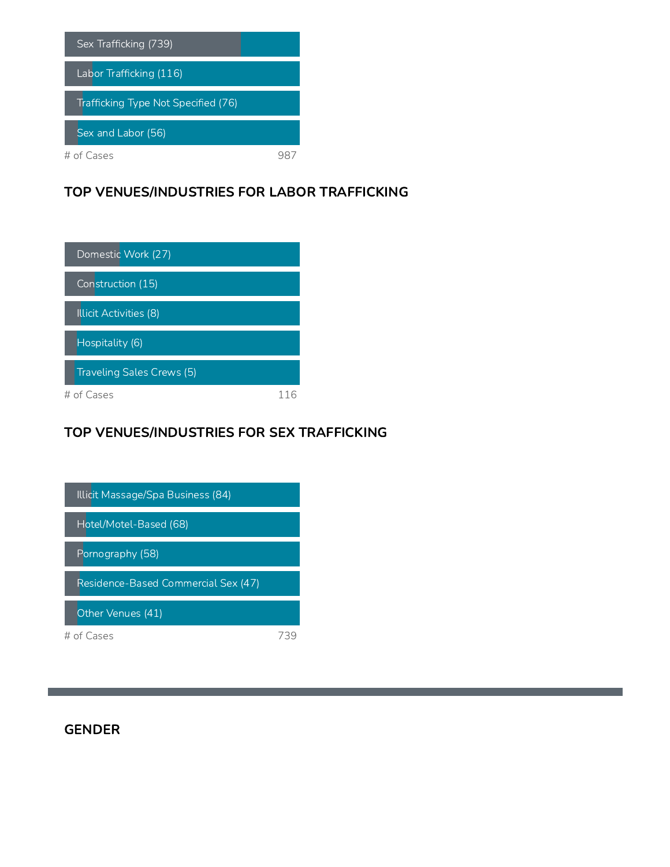

#### TOP VENUES/INDUSTRIES FOR LABOR TRAFFICKING

| Domestic Work (27)        |  |
|---------------------------|--|
| Construction (15)         |  |
| Illicit Activities (8)    |  |
| Hospitality (6)           |  |
| Traveling Sales Crews (5) |  |
| # of Cases                |  |

## TOP VENUES/INDUSTRIES FOR SEX TRAFFICKING



#### GENDER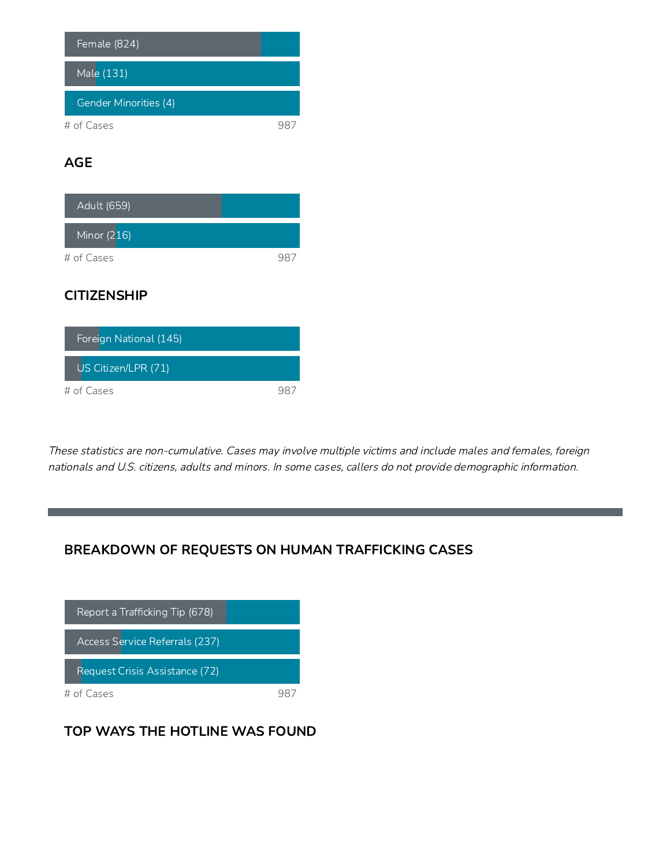| Female (824)          |  |
|-----------------------|--|
| Male (131)            |  |
| Gender Minorities (4) |  |
| # of Cases            |  |

## AGE

| Adult (659)   |  |
|---------------|--|
| Minor $(216)$ |  |
| # of Cases    |  |

## **CITIZENSHIP**

| Foreign National (145) |  |
|------------------------|--|
| US Citizen/LPR (71)    |  |
| # of Cases             |  |

These statistics are non-cumulative. Cases may involve multiple victims and include males and females, foreign nationals and U.S. citizens, adults and minors. In some cases, callers do not provide demographic information.

## BREAKDOWN OF REQUESTS ON HUMAN TRAFFICKING CASES



## TOP WAYS THE HOTLINE WAS FOUND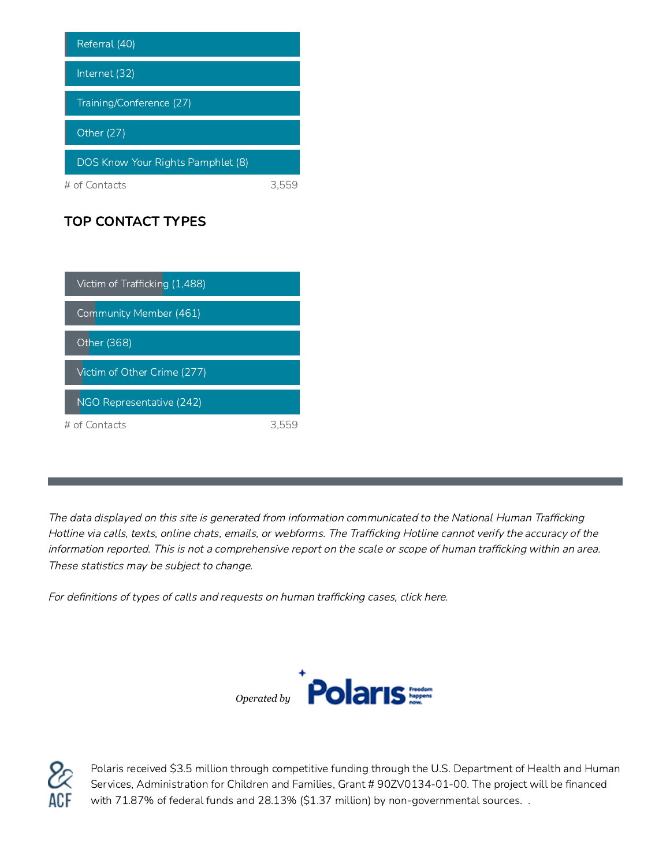| Referral (40)                     |  |
|-----------------------------------|--|
| Internet (32)                     |  |
| Training/Conference (27)          |  |
| Other (27)                        |  |
| DOS Know Your Rights Pamphlet (8) |  |
| # of Contacts                     |  |

## TOP CONTACT TYPES

| Victim of Trafficking (1,488) |  |
|-------------------------------|--|
| Community Member (461)        |  |
| Other (368)                   |  |
| Victim of Other Crime (277)   |  |
| NGO Representative (242)      |  |
| $\#$ of Contacts              |  |

The data displayed on this site is generated from information communicated to the National Human Trafficking Hotline via calls, texts, online chats, emails, or webforms. The Trafficking Hotline cannot verify the accuracy of the information reported. This is not <sup>a</sup> comprehensive report on the scale or scope of human trafficking within an area. These statistics may be subject to change.

For definitions of types of calls and requests on human [trafficking](http://humantraffickinghotline.org/definitions-types-calls-and-requests) cases, click here.





Polaris received \$3.5 million through competitive funding through the U.S. Department of Health and Human Services, Administration for Children and Families, Grant # 90ZV0134-01-00. The project will be financed with 71.87% of federal funds and 28.13% (\$1.37 million) by non-governmental sources. .